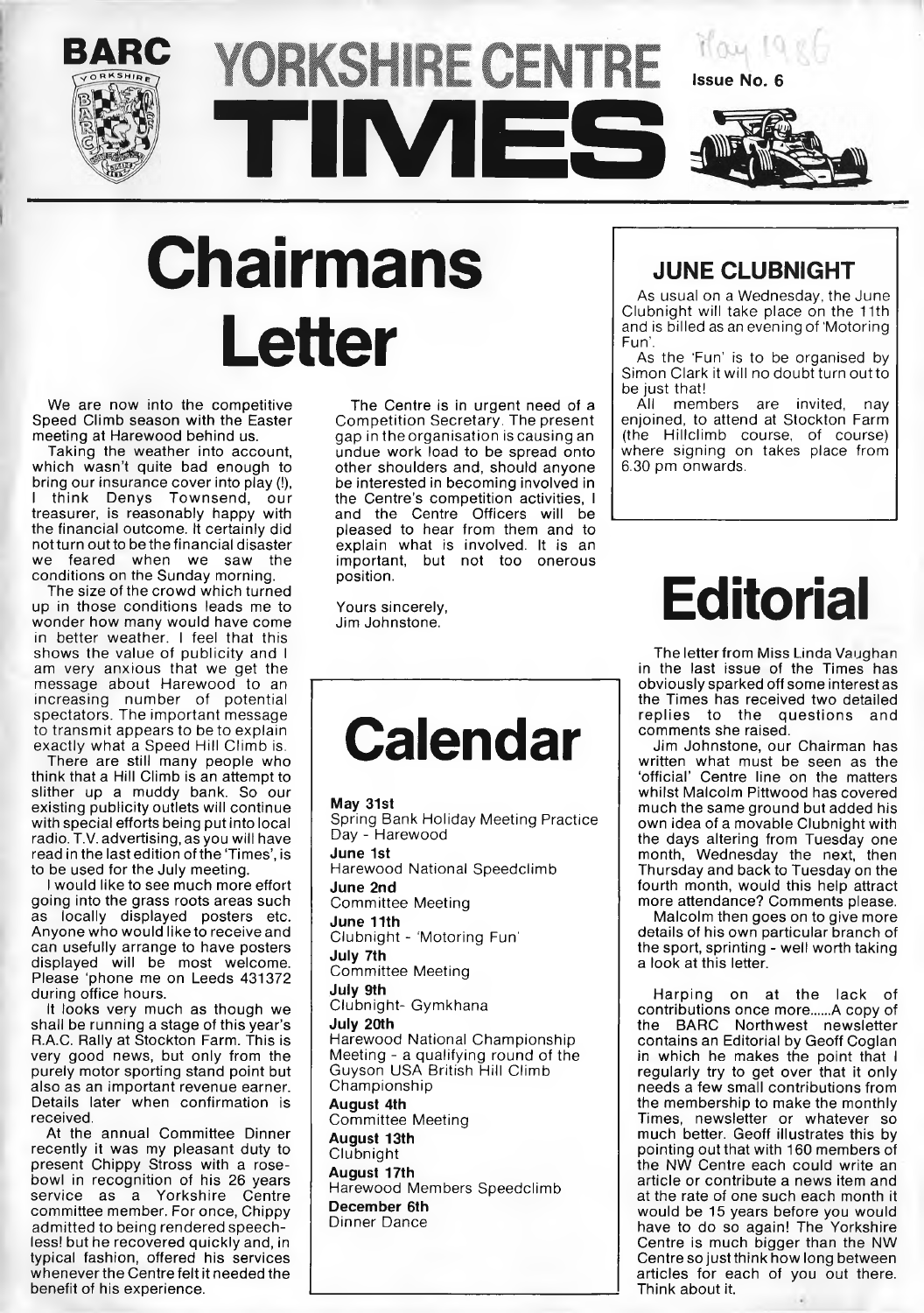



# **Chairmans Letter**

We are now into the competitive Speed Climb season with the Easter meeting at Harewood behind us.

Taking the weather into account, which wasn't quite bad enough to bring our insurance cover into play (!), think Denys Townsend, our treasurer, is reasonably happy with the financial outcome. It certainly did not turn out to be the financial disaster we feared when we saw the conditions on the Sunday morning.

The size of the crowd which turned up in those conditions leads me to wonder how many would have come in better weather. I feel that this shows the value of publicity and I am very anxious that we get the message about Harewood to an increasing number of potential spectators. The important message to transmit appears to be to explain exactly what a Speed Hill Climb is.

There are still many people who think that a Hill Climb is an attempt to slither up a muddy bank. So our existing publicity outlets will continue with special efforts being put into local radio. T.V. advertising, as you will have read in the last edition of the Times', is to be used for the July meeting.

I would like to see much more effort going into the grass roots areas such as locally displayed posters etc. Anyone who would like to receive and can usefully arrange to have posters displayed will be most welcome. Please 'phone me on Leeds 431372 during office hours.

It looks very much as though we shall be running a stage of this year's R.A.C. Rally at Stockton Farm. This is very good news, but only from the purely motor sporting stand point but also as an important revenue earner. Details later when confirmation is received.

At the annual Committee Dinner recently it was my pleasant duty to present Chippy Stross with a rosebowl in recognition of his 26 years service as a Yorkshire Centre committee member. For once, Chippy admitted to being rendered speechless! but he recovered quickly and, in typical fashion, offered his services whenever the Centre felt it needed the benefit of his experience.

The Centre is in urgent need of a Competition Secretary. The present gap in the organisation is causing an undue work load to be spread onto other shoulders and, should anyone be interested in becoming involved in the Centre's competition activities, I and the Centre Officers will be pleased to hear from them and to explain what is involved. It is an important, but not too onerous position.

Yours sincerely, Jim Johnstone.

## **Calendar**

**May 31st** Spring Bank Holiday Meeting Practice Day - Harewood **June 1st** Harewood National Speedclimb **June 2nd** Committee Meeting **June 11th** Clubnight - 'Motoring Fun' **July 7th** Committee Meeting **July 9th** Clubnight- Gymkhana **July 20th** Harewood National Championship Meeting - a qualifying round of the Guyson USA British Hill Climb Championship **August 4th** Committee Meeting **August 13th** Clubnight **August 17th** Harewood Members Speedclimb **December 6th** Dinner Dance

### **JUNE CLUBNIGHT**

As usual on a Wednesday, the June Clubnight will take place on the 11th and is billed as an evening of 'Motoring Fun'.

As the 'Fun' is to be organised by Simon Clark it will no doubt turn out to be just that!

All members are invited, nay enjoined, to attend at Stockton Farm (the Hillclimb course, of course) where signing on takes place from 6.30 pm onwards.

## **Editorial**

The letter from Miss Linda Vaughan in the last issue of the Times has obviously sparked off some interest as the Times has received two detailed replies to the questions and comments she raised.

Jim Johnstone, our Chairman has written what must be seen as the 'official' Centre line on the matters whilst Malcolm Pittwood has covered much the same ground but added his own idea of a movable Clubnight with the days altering from Tuesday one month, Wednesday the next, then Thursday and back to Tuesday on the fourth month, would this help attract more attendance? Comments please.

Malcolm then goes on to give more details of his own particular branch of the sport, sprinting - well worth taking a look at this letter.

Harping on at the lack of contributions once more....A copy of the BARC Northwest newsletter contains an Editorial by Geoff Coglan in which he makes the point that I regularly try to get over that it only needs a few small contributions from the membership to make the monthly Times, newsletter or whatever so much better. Geoff illustrates this by pointing out that with 160 members of the NW Centre each could write an article or contribute a news item and at the rate of one such each month it would be 15 years before you would have to do so again! The Yorkshire Centre is much bigger than the NW Centre so just think how long between articles for each of you out there. Think about it.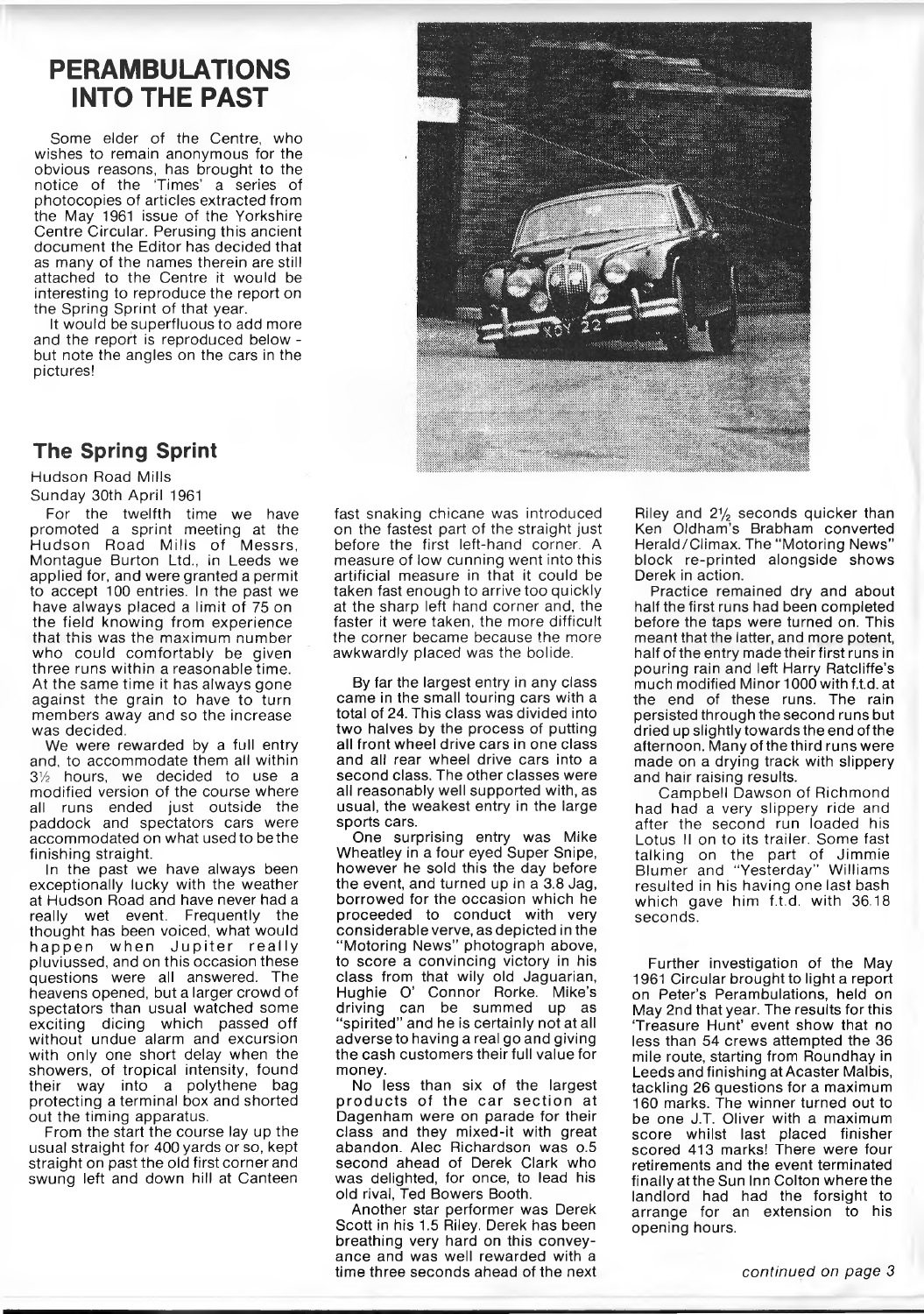## **PERAMBULATIONS INTO THE PAST**

Some elder of the Centre, who wishes to remain anonymous for the obvious reasons, has brought to the notice of the Times' a series of photocopies of articles extracted from the May 1961 issue of the Yorkshire Centre Circular. Perusing this ancient document the Editor has decided that as many of the names therein are still attached to the Centre it would be interesting to reproduce the report on the Spring Sprint of that year.

It would be superfluous to add more and the report is reproduced below but note the angles on the cars in the pictures!

### **The Spring Sprint**

Hudson Road Mills Sunday 30th April 1961

For the twelfth time we have promoted a sprint meeting at the Hudson Road Mills of Messrs, Montague Burton Ltd., in Leeds we applied for, and were granted a permit to accept 100 entries. In the past we have always placed a limit of 75 on the field knowing from experience that this was the maximum number who could comfortably be given three runs within a reasonable time. At the same time it has always gone against the grain to have to turn members away and so the increase was decided.

We were rewarded by a full entry and, to accommodate them all within *3Vz* hours, we decided to use a modified version of the course where all runs ended just outside the paddock and spectators cars were accommodated on what used to be the finishing straight.

In the past we have always been exceptionally lucky with the weather at Hudson Road and have never had a really wet event. Frequently the thought has been voiced, what would happen when Jupiter really pluviussed, and on this occasion these questions were all answered. The heavens opened, but a larger crowd of spectators than usual watched some exciting dicing which passed off without undue alarm and excursion with only one short delay when the showers, of tropical intensity, found their way into a polythene bag protecting a terminal box and shorted out the timing apparatus.

From the start the course lay up the usual straight for 400 yards or so, kept straight on past the old first corner and swung left and down hill at Canteen

fast snaking chicane was introduced on the fastest part of the straight just before the first left-hand corner. A measure of low cunning went into this artificial measure in that it could be taken fast enough to arrive too quickly at the sharp left hand corner and, the faster it were taken, the more difficult the corner became because the more awkwardly placed was the bolide.

By far the largest entry in any class came in the small touring cars with a total of 24. This class was divided into two halves by the process of putting all front wheel drive cars in one class and all rear wheel drive cars into a second class. The other classes were all reasonably well supported with, as usual, the weakest entry in the large sports cars.

One surprising entry was Mike Wheatley in a four eyed Super Snipe, however he sold this the day before the event, and turned up in a 3.8 Jag, borrowed for the occasion which he proceeded to conduct with very considerable verve, as depicted in the " Motoring News" photograph above, to score a convincing victory in his class from that wily old Jaguarian, Flughie O' Connor Rorke. Mike's driving can be summed up as "spirited" and he is certainly not at all adverse to having a real go and giving the cash customers their full value for money.

No less than six of the largest products of the car section at Dagenham were on parade for their class and they mixed-it with great abandon. Alec Richardson was o.5 second ahead of Derek Clark who was delighted, for once, to lead his old rival, Ted Bowers Booth.

Another star performer was Derek Scott in his 1.5 Riley. Derek has been breathing very hard on this conveyance and was well rewarded with a time three seconds ahead of the next

Riley and  $2\frac{1}{2}$  seconds quicker than Ken Oldham's Brabham converted Herald/Climax. The "Motoring News" block re-printed alongside shows Derek in action.

Practice remained dry and about half the first runs had been completed before the taps were turned on. This meant that the latter, and more potent, half of the entry made their first runs in pouring rain and left Harry Ratcliffe's much modified Minor 1000 with f.t.d. at the end of these runs. The rain persisted through the second runs but dried up slightly towards the end of the afternoon. Many of the third runs were made on a drying track with slippery and hair raising results.

Campbell Dawson of Richmond had had a very slippery ride and after the second run loaded his Lotus II on to its trailer. Some fast talking on the part of Jimmie Blumer and "Yesterday" Williams resulted in his having one last bash which gave him f.t.d. with 36.18 seconds.

Further investigation of the May 1961 Circular brought to light a report on Peter's Perambulations, held on May 2nd that year. The results for this Treasure Hunt' event show that no less than 54 crews attempted the 36 mile route, starting from Roundhay in Leeds and finishing at Acaster Malbis, tackling 26 questions for a maximum 160 marks. The winner turned out to be one J.T. Oliver with a maximum score whilst last placed finisher scored 413 marks! There were four retirements and the event terminated finally atthe Sun Inn Colton where the landlord had had the forsight to arrange for an extension to his opening hours.

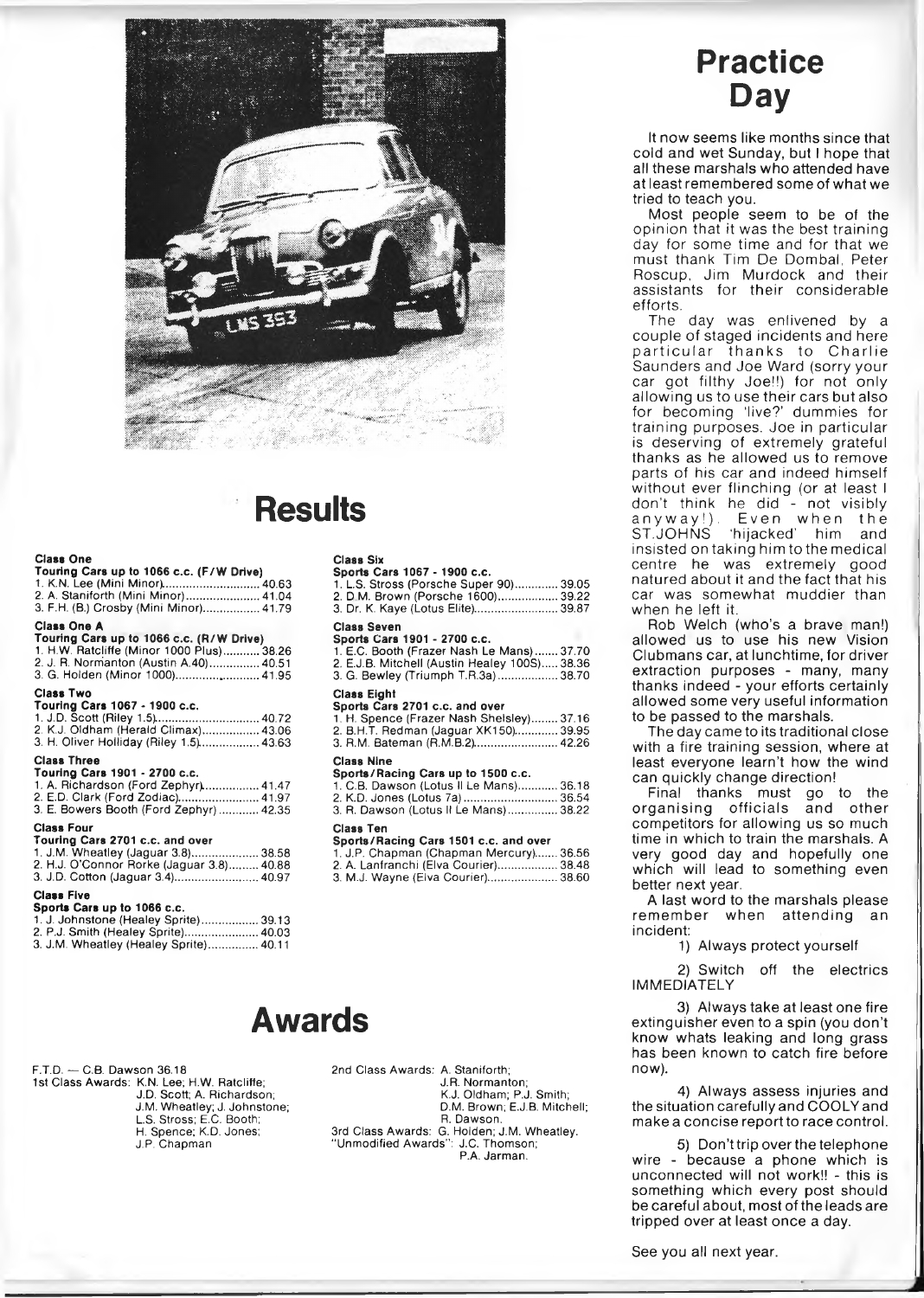

## **Results**

#### **Class One**

| Touring Cars up to 1066 c.c. (F/W Drive)<br>1. K.N. Lee (Mini Minor) 40.63<br>2. A. Staniforth (Mini Minor) 41.04<br>3. F.H. (B.) Crosby (Mini Minor) 41.79                              |
|------------------------------------------------------------------------------------------------------------------------------------------------------------------------------------------|
| <b>Class One A</b><br>Touring Cars up to 1066 c.c. (R/W Drive)<br>1. H.W. Ratcliffe (Minor 1000 Plus) 38.26<br>2. J. R. Normanton (Austin A.40) 40.51<br>3. G. Holden (Minor 1000) 41.95 |
| <b>Class Two</b><br>Touring Cars 1067 - 1900 c.c.<br>2. K.J. Oldham (Herald Climax) 43.06<br>3. H. Oliver Holliday (Riley 1.5) 43.63                                                     |
| <b>Class Three</b><br>Touring Cars 1901 - 2700 c.c.<br>1. A. Richardson (Ford Zephyr) 41.47<br>2. E.D. Clark (Ford Zodiac) 41.97<br>3. E. Bowers Booth (Ford Zephyr)  42.35              |
| <b>Class Four</b><br>Touring Cars 2701 c.c. and over<br>1. J.M. Wheatley (Jaguar 3.8) 38.58<br>2. H.J. O'Connor Rorke (Jaguar 3.8) 40.88                                                 |

| <b>Class Five</b>                         |  |
|-------------------------------------------|--|
|                                           |  |
| 2. H.J. O'Connor Rorke (Jaguar 3.8) 40.88 |  |
| 1. J.M. Wheatley (Jaguar 3.8) 38.58       |  |

| Sports Cars up to 1066 c.c.            |  |
|----------------------------------------|--|
| 1. J. Johnstone (Healey Sprite) 39.13  |  |
| 2. P.J. Smith (Healey Sprite) 40.03    |  |
| 3. J.M. Wheatley (Healey Sprite) 40.11 |  |

### **Class Six**

**Sports Cars 1067 - 1900 c.c.** 1. L.S. Stross (Porsche Super 90).............39.05

| 2. D.M. Brown (Porsche 1600) 39.22 |  |
|------------------------------------|--|
| 3. Dr. K. Kaye (Lotus Elite) 39.87 |  |

#### **Class Seven**

**Sports Cars 1901 - 2700 c.c.**

1. E.C. Booth (Frazer Nash Le Mans)...... 37.70 2. E.J.B. Mitchell (Austin Healey 100S)....38.36 3. G. Bewley (Triumph T.R.3a).................. 38.70

#### **Class Eight Sports Cars 2701 c.c. and over**

| Sports Cars Z701 C.C. and Over            |  |
|-------------------------------------------|--|
| 1. H. Spence (Frazer Nash Shelsley) 37.16 |  |
| 2. B.H.T. Redman (Jaguar XK150) 39.95     |  |
| 3. R.M. Bateman (R.M.B.2) 42.26           |  |

#### **Class Nine**

| Sports/Racing Cars up to 1500 c.c.      |  |
|-----------------------------------------|--|
| 1. C.B. Dawson (Lotus II Le Mans) 36.18 |  |
| 2. K.D. Jones (Lotus 7a) 36.54          |  |
| 3. R. Dawson (Lotus II Le Mans) 38.22   |  |

#### **Class Ten**

**Sports/Racing Cars 1501 c.c. and over** 1. J.P. Chapman (Chapman Mercury)....... 36.56 2. A. Lanfranchi (Elva Courier)................... 38.48 3. M.J. Wayne (Elva Courier).......................38.60

## **Awards**

#### F.T.D. — C.B. Dawson 36.18

1st Class Awards: K.N. Lee; H.W. Ratcliffe; J.D. Scott; A. Richardson; J.M. Wheatley; J. Johnstone; L.S. Stross; E.C. Booth; H. Spence; K.D. Jones; J.P. Chapman

2nd Class Awards: A. Staniforth; J. R. Normanton; K. J. Oldham; P.J. Smith; D.M. Brown; E.J.B. Mitchell; R. Dawson. 3rd Class Awards: G. Holden; J.M. Wheatley. "Unmodified Awards": J.C. Thomson; P.A. Jarman.

## **Practice Day**

It now seems like months since that cold and wet Sunday, but I hope that all these marshals who attended have at least remembered some of what we tried to teach you.

Most people seem to be of the opinion that it was the best training day for some time and for that we must thank Tim De Dombal, Peter Roscup, Jim Murdock and their assistants for their considerable efforts.

The day was enlivened by a couple of staged incidents and here particular thanks to Charlie Saunders and Joe Ward (sorry your car got filthy Joe!!) for not only allowing us to use their cars but also for becoming 'live?' dummies for training purposes. Joe in particular is deserving of extremely grateful thanks as he allowed us to remove parts of his car and indeed himself without ever flinching (or at least I don't think he did - not visibly anyway!). Even when the ST.JOHNS 'hijacked' him and insisted on taking him to the medical centre he was extremely good natured about it and the fact that his car was somewhat muddier than when he left it.

Rob Welch (who's a brave man!) allowed us to use his new Vision Clubmans car, at lunchtime, for driver extraction purposes - many, many thanks indeed - your efforts certainly allowed some very useful information to be passed to the marshals.

The day came to its traditional close with a fire training session, where at least everyone learn't how the wind can quickly change direction!

Final thanks must go to the organising officials and other competitors for allowing us so much time in which to train the marshals. A very good day and hopefully one which will lead to something even better next year.

A last word to the marshals please remember when attending an incident:

1) Always protect yourself

2) Switch off the electrics **IMMEDIATELY** 

3) Always take at least one fire extinguisher even to a spin (you don't know whats leaking and long grass has been known to catch fire before now).

4) Always assess injuries and the situation carefully and COOLY and make a concise report to race control.

5) Don't trip over the telephone wire - because a phone which is unconnected will not work!! - this is something which every post should be careful about, most of the leads are tripped over at least once a day.

See you all next year.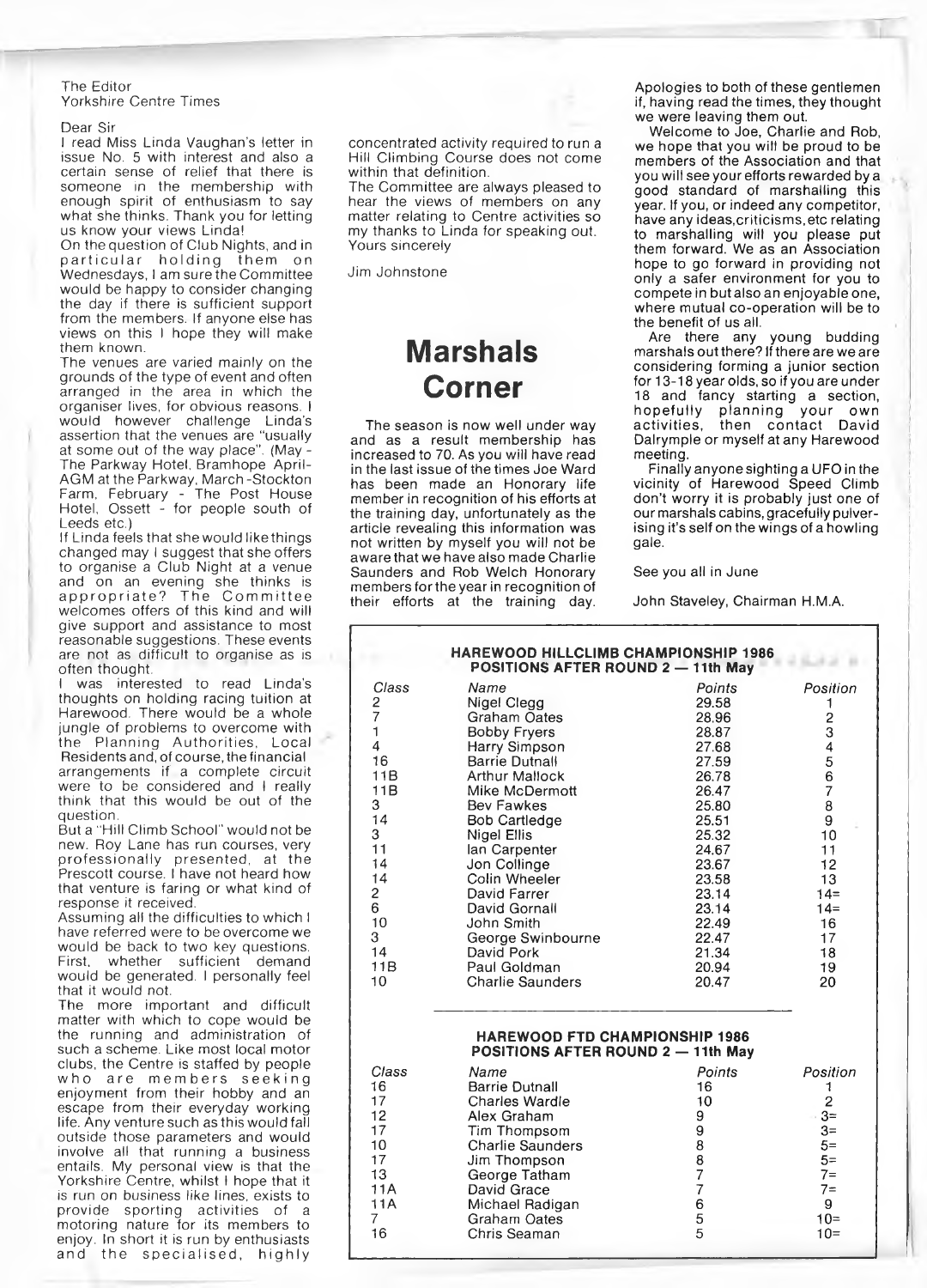#### The Editor Yorkshire Centre Times

#### Dear Sir

I read Miss Linda Vaughan's letter in issue No. 5 with interest and also a certain sense of relief that there is someone in the membership with enough spirit of enthusiasm to say what she thinks. Thank you for letting us know your views Linda!

On the question of Club Nights, and in particular holding them on Wednesdays, I am sure the Committee would be happy to consider changing the day if there is sufficient support from the members. If anyone else has views on this I hope they will make them known.

The venues are varied mainly on the grounds of the type of event and often arranged in the area in which the organiser lives, for obvious reasons. I would however challenge Linda's assertion that the venues are "usually at some out of the way place". (May - The Parkway Hotel, Bramhope April-AGM at the Parkway, March -Stockton Farm, February - The Post House Hotel, Ossett - for people south of Leeds etc.)

If Linda feels that she would likethings changed may I suggest that she offers to organise a Club Night at a venue and on an evening she thinks is appropriate? The Committee welcomes offers of this kind and will give support and assistance to most reasonable suggestions. These events are not as difficult to organise as is often thought.

was interested to read Linda's thoughts on holding racing tuition at Harewood. There would be a whole jungle of problems to overcome with the Planning Authorities, Local Residents and, of course, the financial arrangements if a complete circuit were to be considered and I really think that this would be out of the question.

But a "Hill Climb School" would not be new. Roy Lane has run courses, very professionally presented, at the Prescott course. I have not heard how that venture is faring or what kind of response it received.

Assuming all the difficulties to which I have referred were to be overcome we would be back to two key questions. First, whether sufficient demand would be generated. I personally feel that it would not.

The more important and difficult matter with which to cope would be the running and administration of such a scheme. Like most local motor clubs, the Centre is staffed by people who are members seeking enjoyment from their hobby and an escape from their everyday working life. Any venture such as this would fall outside those parameters and would involve all that running a business entails. My personal view is that the Yorkshire Centre, whilst I hope that it is run on business like lines, exists to provide sporting activities of a motoring nature for its members to enjoy. In short it is run by enthusiasts and the specialised, highly

concentrated activity required to run a Hill Climbing Course does not come within that definition.

The Committee are always pleased to hear the views of members on any matter relating to Centre activities so my thanks to Linda for speaking out. Yours sincerely

Jim Johnstone

## **Marshals Corner**

The season is now well under way and as a result membership has increased to 70. As you will have read in the last issue of the times Joe Ward has been made an Honorary life member in recognition of his efforts at the training day, unfortunately as the article revealing this information was not written by myself you will not be aware that we have also made Charlie Saunders and Rob Welch Honorary members fortheyearin recognition of their efforts at the training day.

Apologies to both of these gentlemen if, having read the times, they thought we were leaving them out.

Welcome to Joe, Charlie and Rob, we hope that you will be proud to be members of the Association and that you will see your efforts rewarded by a good standard of marshalling this year. If you, or indeed any competitor, have any ideas,criticisms,etc relating to marshalling will you please put them forward. We as an Association hope to go forward in providing not only a safer environment for you to compete in butalso an enjoyable one, where mutual co-operation will be to the benefit of us all.

Are there any young budding marshals out there? If there are we are considering forming a junior section for 13-18 year olds, so if you are under 18 and fancy starting a section, hopefully planning your own activities, then contact David Dalrymple or myself at any Harewood meeting.

Finally anyone sighting a UFO in the vicinity of Harewood Speed Climb don't worry it is probably just one of our marshals cabins, gracefully pulverising it's self on the wings of a howling gale.

See you all in June

John Staveley, Chairman H.M.A.

|                                                                                                                                             | <b>HAREWOOD HILLCLIMB CHAMPIONSHIP 1986</b><br>POSITIONS AFTER ROUND 2 - 11th May                                                                                                                                                                                                                                                                                                                               |                                                                                                                                                                                            |                                                                                                                        |
|---------------------------------------------------------------------------------------------------------------------------------------------|-----------------------------------------------------------------------------------------------------------------------------------------------------------------------------------------------------------------------------------------------------------------------------------------------------------------------------------------------------------------------------------------------------------------|--------------------------------------------------------------------------------------------------------------------------------------------------------------------------------------------|------------------------------------------------------------------------------------------------------------------------|
| Class<br>$\frac{2}{7}$<br>1<br>4<br>16<br>11B<br>11B<br>3<br>14<br>3<br>11<br>14<br>14<br>$\overline{c}$<br>6<br>10<br>3<br>14<br>11B<br>10 | Name<br>Nigel Clegg<br><b>Graham Oates</b><br><b>Bobby Fryers</b><br>Harry Simpson<br><b>Barrie Dutnall</b><br><b>Arthur Mallock</b><br>Mike McDermott<br><b>Bev Fawkes</b><br><b>Bob Cartledge</b><br><b>Nigel Ellis</b><br>lan Carpenter<br>Jon Collinge<br>Colin Wheeler<br>David Farrer<br>David Gornall<br><b>John Smith</b><br>George Swinbourne<br>David Pork<br>Paul Goldman<br><b>Charlie Saunders</b> | Points<br>29.58<br>28.96<br>28.87<br>27.68<br>27.59<br>26.78<br>26.47<br>25.80<br>25.51<br>25.32<br>24.67<br>23.67<br>23.58<br>23.14<br>23.14<br>22.49<br>22.47<br>21.34<br>20.94<br>20.47 | Position<br>1<br>23456<br>$\bar{7}$<br>8<br>9<br>10<br>11<br>12<br>13<br>$14 =$<br>$14=$<br>16<br>17<br>18<br>19<br>20 |
|                                                                                                                                             | <b>HAREWOOD FTD CHAMPIONSHIP 1986</b><br>POSITIONS AFTER ROUND 2 - 11th May                                                                                                                                                                                                                                                                                                                                     |                                                                                                                                                                                            |                                                                                                                        |
| Class<br>16<br>17<br>12<br>17<br>10<br>17<br>13<br>11A<br>11A<br>$\overline{7}$<br>16                                                       | Name<br><b>Barrie Dutnall</b><br><b>Charles Wardle</b><br>Alex Graham<br>Tim Thompsom<br><b>Charlie Saunders</b><br>Jim Thompson<br>George Tatham<br>David Grace<br>Michael Radigan<br><b>Graham Oates</b><br>Chris Seaman                                                                                                                                                                                      | Points<br>16<br>10<br>9<br>9<br>8<br>$\begin{array}{c} 8 \\ 7 \end{array}$<br>$\overline{7}$<br>6<br>5<br>5                                                                                | Position<br>1<br>$\overline{2}$<br>$-3=$<br>$3=$<br>$5=$<br>$5=$<br>$7=$<br>$7=$<br>9<br>$10 =$<br>$10=$               |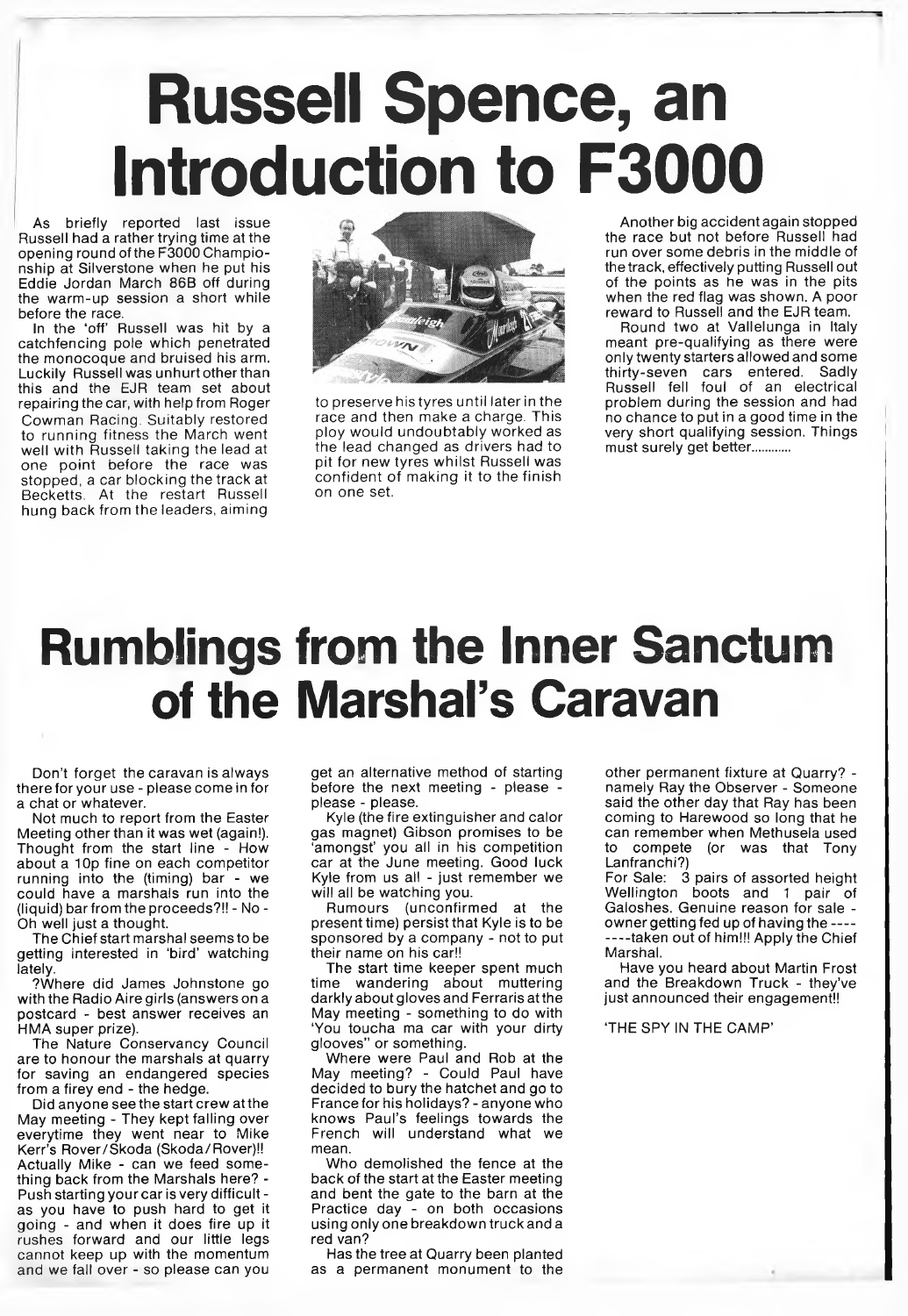# **Russell Spence, an Introduction to F3000**

As briefly reported last issue Russell had a rather trying time at the opening round of the F3000 Championship at Silverstone when he put his Eddie Jordan March 86B off during the warm-up session a short while before the race.

In the 'off' Russell was hit by a catchfencing pole which penetrated the monocoque and bruised his arm. Luckily Russell was unhurt other than this and the EJR team set about repairing the car, with help from Roger Cowman Racing. Suitably restored to running fitness the March went well with Russell taking the lead at one point before the race was stopped, a car blocking the track at Becketts. At the restart Russell hung back from the leaders, aiming



to preserve his tyres until later in the race and then make a charge. This ploy would undoubtably worked as the lead changed as drivers had to pit for new tyres whilst Russell was confident of making it to the finish on one set.

Another big accident again stopped the race but not before Russell had run over some debris in the middle of the track, effectively putting Russell out of the points as he was in the pits when the red flag was shown. A poor reward to Russell and the EJR team.

Round two at Vallelunga in Italy meant pre-qualifying as there were only twenty starters allowed and some thirty-seven cars entered. Sadly Russell fell foul of an electrical problem during the session and had no chance to put in a good time in the very short qualifying session. Things must surely get better.........

## **Rumblings from the Inner Sanctum of the Marshal's Caravan**

Don't forget the caravan is always there for your use - please come in for a chat or whatever.

Not much to report from the Easter Meeting other than it was wet (again!). Thought from the start line - How about a 10p fine on each competitor running into the (timing) bar - we could have a marshals run into the (liquid) bar from the proceeds?!! - No - Oh well just a thought.

The Chief start marshal seems to be getting interested in 'bird' watching lately.

?Where did James Johnstone go with the Radio Aire girls (answers on a postcard - best answer receives an HMA super prize).

The Nature Conservancy Council are to honour the marshals at quarry for saving an endangered species from a firey end - the hedge.

Did anyone seethe start crew at the May meeting - They kept falling over everytime they went near to Mike Kerr's Rover/Skoda (Skoda/Rover)!! Actually Mike - can we feed something back from the Marshals here? - Push starting your car is very difficult as you have to push hard to get it going - and when it does fire up it rushes forward and our little legs cannot keep up with the momentum and we fall over - so please can you

get an alternative method of starting before the next meeting - please please - please.

Kyle (the fire extinguisher and calor gas magnet) Gibson promises to be 'amongst' you all in his competition car at the June meeting. Good luck Kyle from us all - just remember we will all be watching you.

Rumours (unconfirmed at the present time) persist that Kyle is to be sponsored by a company - not to put their name on his car!!

The start time keeper spent much time wandering about muttering darkly about gloves and Ferraris at the May meeting - something to do with 'You toucha ma car with your dirty glooves" or something.

Where were Paul and Rob at the May meeting? - Could Paul have decided to bury the hatchet and go to France for his holidays? - anyone who knows Paul's feelings towards the French will understand what we mean.

Who demolished the fence at the back of the start at the Easter meeting and bent the gate to the barn at the Practice day - on both occasions using only one breakdown truck and a red van?

Has the tree at Quarry been planted as a permanent monument to the

other permanent fixture at Quarry? namely Ray the Observer - Someone said the other day that Ray has been coming to Harewood so long that he can remember when Methusela used to compete (or was that Tony Lanfranchi?)

For Sale: 3 pairs of assorted height Wellington boots and 1 pair of Galoshes. Genuine reason for sale owner getting fed up of having the---- ---- taken out of him!!! Apply the Chief Marshal.

Have you heard about Martin Frost and the Breakdown Truck - they've just announced their engagement!!

'THE SPY IN THE CAMP'